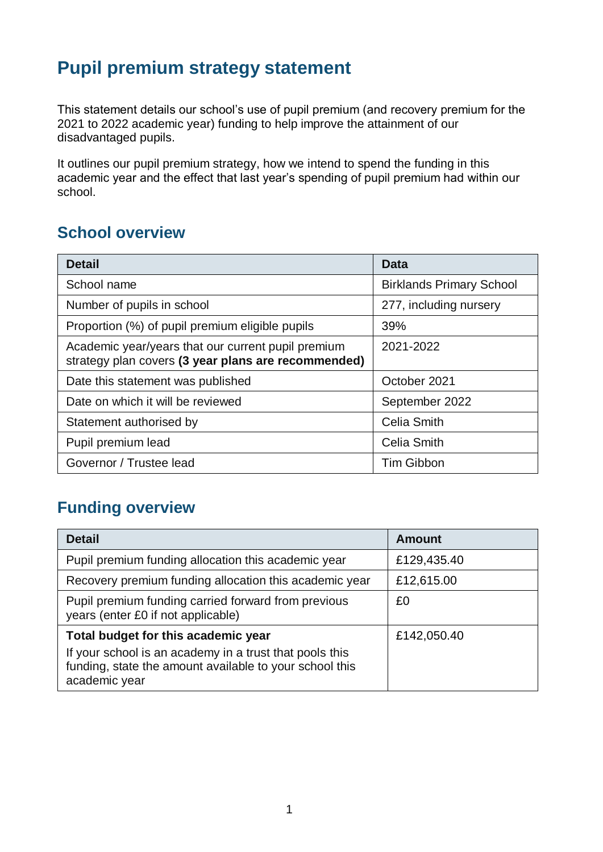# **Pupil premium strategy statement**

This statement details our school's use of pupil premium (and recovery premium for the 2021 to 2022 academic year) funding to help improve the attainment of our disadvantaged pupils.

It outlines our pupil premium strategy, how we intend to spend the funding in this academic year and the effect that last year's spending of pupil premium had within our school.

#### **School overview**

| <b>Detail</b>                                                                                             | <b>Data</b>                     |
|-----------------------------------------------------------------------------------------------------------|---------------------------------|
| School name                                                                                               | <b>Birklands Primary School</b> |
| Number of pupils in school                                                                                | 277, including nursery          |
| Proportion (%) of pupil premium eligible pupils                                                           | 39%                             |
| Academic year/years that our current pupil premium<br>strategy plan covers (3 year plans are recommended) | 2021-2022                       |
| Date this statement was published                                                                         | October 2021                    |
| Date on which it will be reviewed                                                                         | September 2022                  |
| Statement authorised by                                                                                   | <b>Celia Smith</b>              |
| Pupil premium lead                                                                                        | <b>Celia Smith</b>              |
| Governor / Trustee lead                                                                                   | <b>Tim Gibbon</b>               |

### **Funding overview**

| <b>Detail</b>                                                                                                                       | <b>Amount</b> |
|-------------------------------------------------------------------------------------------------------------------------------------|---------------|
| Pupil premium funding allocation this academic year                                                                                 | £129,435.40   |
| Recovery premium funding allocation this academic year                                                                              | £12,615.00    |
| Pupil premium funding carried forward from previous<br>years (enter £0 if not applicable)                                           | £0            |
| Total budget for this academic year                                                                                                 | £142,050.40   |
| If your school is an academy in a trust that pools this<br>funding, state the amount available to your school this<br>academic year |               |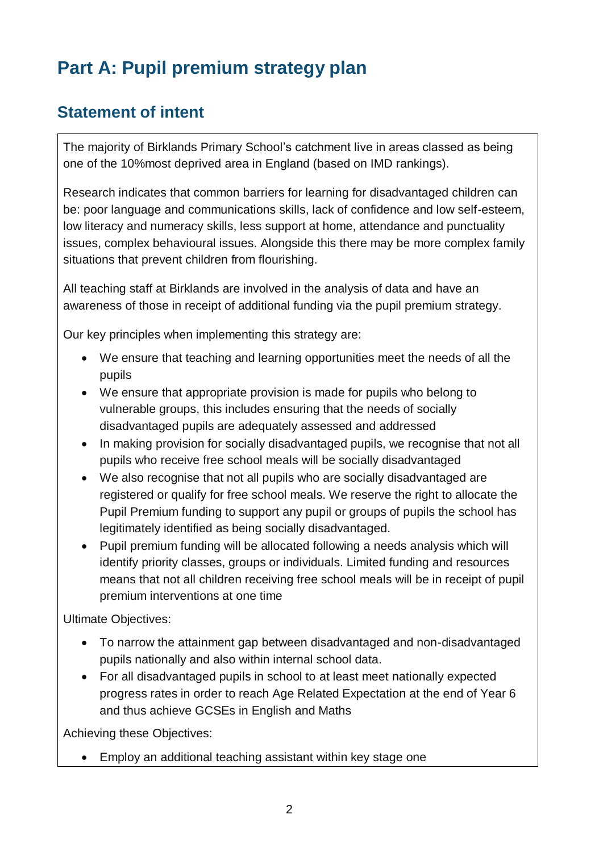# **Part A: Pupil premium strategy plan**

### **Statement of intent**

The majority of Birklands Primary School's catchment live in areas classed as being one of the 10%most deprived area in England (based on IMD rankings).

Research indicates that common barriers for learning for disadvantaged children can be: poor language and communications skills, lack of confidence and low self-esteem, low literacy and numeracy skills, less support at home, attendance and punctuality issues, complex behavioural issues. Alongside this there may be more complex family situations that prevent children from flourishing.

All teaching staff at Birklands are involved in the analysis of data and have an awareness of those in receipt of additional funding via the pupil premium strategy.

Our key principles when implementing this strategy are:

- We ensure that teaching and learning opportunities meet the needs of all the pupils
- We ensure that appropriate provision is made for pupils who belong to vulnerable groups, this includes ensuring that the needs of socially disadvantaged pupils are adequately assessed and addressed
- In making provision for socially disadvantaged pupils, we recognise that not all pupils who receive free school meals will be socially disadvantaged
- We also recognise that not all pupils who are socially disadvantaged are registered or qualify for free school meals. We reserve the right to allocate the Pupil Premium funding to support any pupil or groups of pupils the school has legitimately identified as being socially disadvantaged.
- Pupil premium funding will be allocated following a needs analysis which will identify priority classes, groups or individuals. Limited funding and resources means that not all children receiving free school meals will be in receipt of pupil premium interventions at one time

Ultimate Objectives:

- To narrow the attainment gap between disadvantaged and non-disadvantaged pupils nationally and also within internal school data.
- For all disadvantaged pupils in school to at least meet nationally expected progress rates in order to reach Age Related Expectation at the end of Year 6 and thus achieve GCSEs in English and Maths

Achieving these Objectives:

• Employ an additional teaching assistant within key stage one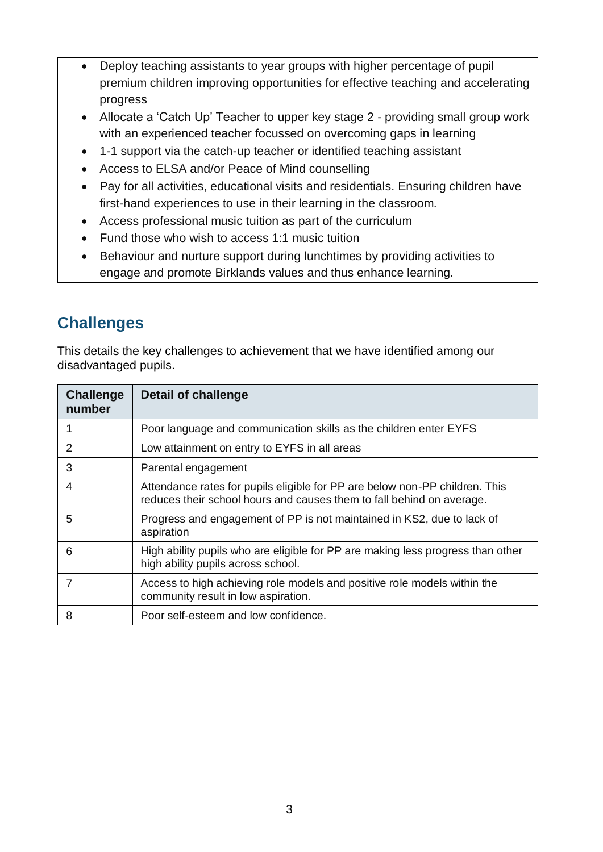- Deploy teaching assistants to year groups with higher percentage of pupil premium children improving opportunities for effective teaching and accelerating progress
- Allocate a 'Catch Up' Teacher to upper key stage 2 providing small group work with an experienced teacher focussed on overcoming gaps in learning
- 1-1 support via the catch-up teacher or identified teaching assistant
- Access to ELSA and/or Peace of Mind counselling
- Pay for all activities, educational visits and residentials. Ensuring children have first-hand experiences to use in their learning in the classroom.
- Access professional music tuition as part of the curriculum
- Fund those who wish to access 1:1 music tuition
- Behaviour and nurture support during lunchtimes by providing activities to engage and promote Birklands values and thus enhance learning.

# **Challenges**

This details the key challenges to achievement that we have identified among our disadvantaged pupils.

| <b>Challenge</b><br>number | <b>Detail of challenge</b>                                                                                                                           |
|----------------------------|------------------------------------------------------------------------------------------------------------------------------------------------------|
|                            | Poor language and communication skills as the children enter EYFS                                                                                    |
| 2                          | Low attainment on entry to EYFS in all areas                                                                                                         |
| 3                          | Parental engagement                                                                                                                                  |
| 4                          | Attendance rates for pupils eligible for PP are below non-PP children. This<br>reduces their school hours and causes them to fall behind on average. |
| 5                          | Progress and engagement of PP is not maintained in KS2, due to lack of<br>aspiration                                                                 |
| 6                          | High ability pupils who are eligible for PP are making less progress than other<br>high ability pupils across school.                                |
|                            | Access to high achieving role models and positive role models within the<br>community result in low aspiration.                                      |
| 8                          | Poor self-esteem and low confidence.                                                                                                                 |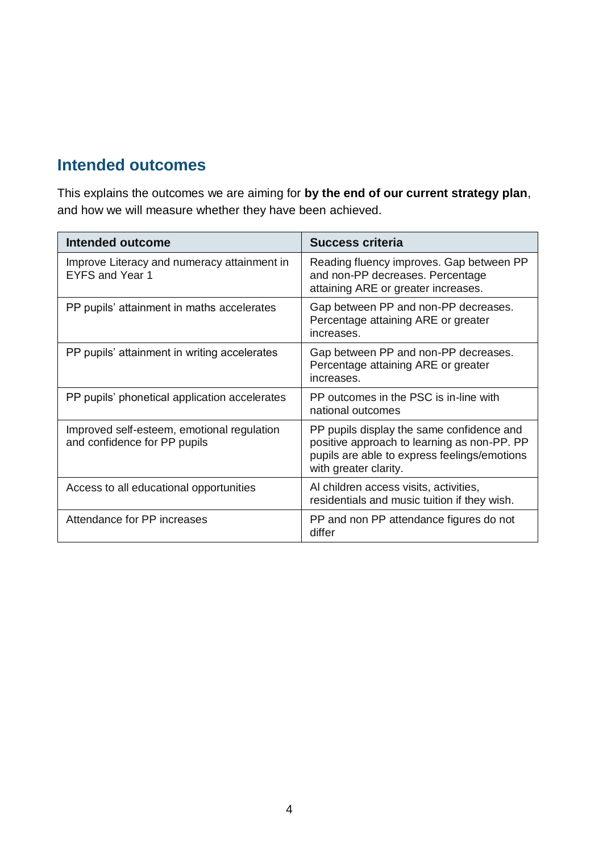# **Intended outcomes**

This explains the outcomes we are aiming for **by the end of our current strategy plan**, and how we will measure whether they have been achieved.

| Intended outcome                                                           | <b>Success criteria</b>                                                                                                                                           |
|----------------------------------------------------------------------------|-------------------------------------------------------------------------------------------------------------------------------------------------------------------|
| Improve Literacy and numeracy attainment in<br><b>EYFS and Year 1</b>      | Reading fluency improves. Gap between PP<br>and non-PP decreases. Percentage<br>attaining ARE or greater increases.                                               |
| PP pupils' attainment in maths accelerates                                 | Gap between PP and non-PP decreases.<br>Percentage attaining ARE or greater<br>increases.                                                                         |
| PP pupils' attainment in writing accelerates                               | Gap between PP and non-PP decreases.<br>Percentage attaining ARE or greater<br>increases.                                                                         |
| PP pupils' phonetical application accelerates                              | PP outcomes in the PSC is in-line with<br>national outcomes                                                                                                       |
| Improved self-esteem, emotional regulation<br>and confidence for PP pupils | PP pupils display the same confidence and<br>positive approach to learning as non-PP. PP<br>pupils are able to express feelings/emotions<br>with greater clarity. |
| Access to all educational opportunities                                    | Al children access visits, activities,<br>residentials and music tuition if they wish.                                                                            |
| Attendance for PP increases                                                | PP and non PP attendance figures do not<br>differ                                                                                                                 |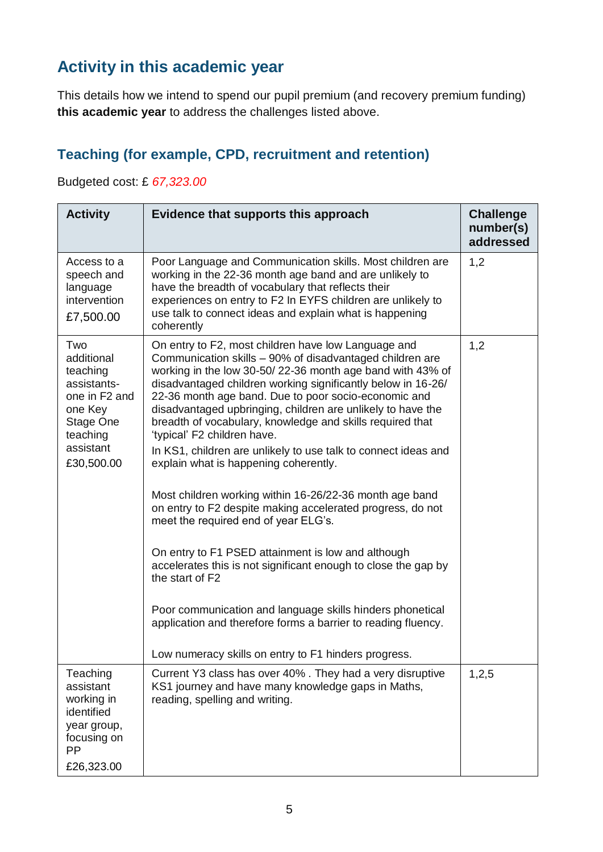## **Activity in this academic year**

This details how we intend to spend our pupil premium (and recovery premium funding) **this academic year** to address the challenges listed above.

#### **Teaching (for example, CPD, recruitment and retention)**

Budgeted cost: £ *67,323.00*

| <b>Activity</b>                                                                                                              | Evidence that supports this approach                                                                                                                                                                                                                                                                                                                                                                                                                                                                                                                                                                                                                                                                                                                                                                                                                                                                                                                                                                                                                                         | <b>Challenge</b><br>number(s)<br>addressed |
|------------------------------------------------------------------------------------------------------------------------------|------------------------------------------------------------------------------------------------------------------------------------------------------------------------------------------------------------------------------------------------------------------------------------------------------------------------------------------------------------------------------------------------------------------------------------------------------------------------------------------------------------------------------------------------------------------------------------------------------------------------------------------------------------------------------------------------------------------------------------------------------------------------------------------------------------------------------------------------------------------------------------------------------------------------------------------------------------------------------------------------------------------------------------------------------------------------------|--------------------------------------------|
| Access to a<br>speech and<br>language<br>intervention<br>£7,500.00                                                           | Poor Language and Communication skills. Most children are<br>working in the 22-36 month age band and are unlikely to<br>have the breadth of vocabulary that reflects their<br>experiences on entry to F2 In EYFS children are unlikely to<br>use talk to connect ideas and explain what is happening<br>coherently                                                                                                                                                                                                                                                                                                                                                                                                                                                                                                                                                                                                                                                                                                                                                           | 1,2                                        |
| Two<br>additional<br>teaching<br>assistants-<br>one in F2 and<br>one Key<br>Stage One<br>teaching<br>assistant<br>£30,500.00 | On entry to F2, most children have low Language and<br>Communication skills - 90% of disadvantaged children are<br>working in the low 30-50/22-36 month age band with 43% of<br>disadvantaged children working significantly below in 16-26/<br>22-36 month age band. Due to poor socio-economic and<br>disadvantaged upbringing, children are unlikely to have the<br>breadth of vocabulary, knowledge and skills required that<br>'typical' F2 children have.<br>In KS1, children are unlikely to use talk to connect ideas and<br>explain what is happening coherently.<br>Most children working within 16-26/22-36 month age band<br>on entry to F2 despite making accelerated progress, do not<br>meet the required end of year ELG's.<br>On entry to F1 PSED attainment is low and although<br>accelerates this is not significant enough to close the gap by<br>the start of F2<br>Poor communication and language skills hinders phonetical<br>application and therefore forms a barrier to reading fluency.<br>Low numeracy skills on entry to F1 hinders progress. | 1,2                                        |
| Teaching<br>assistant<br>working in<br>identified<br>year group,<br>focusing on<br>PP<br>£26,323.00                          | Current Y3 class has over 40%. They had a very disruptive<br>KS1 journey and have many knowledge gaps in Maths,<br>reading, spelling and writing.                                                                                                                                                                                                                                                                                                                                                                                                                                                                                                                                                                                                                                                                                                                                                                                                                                                                                                                            | 1,2,5                                      |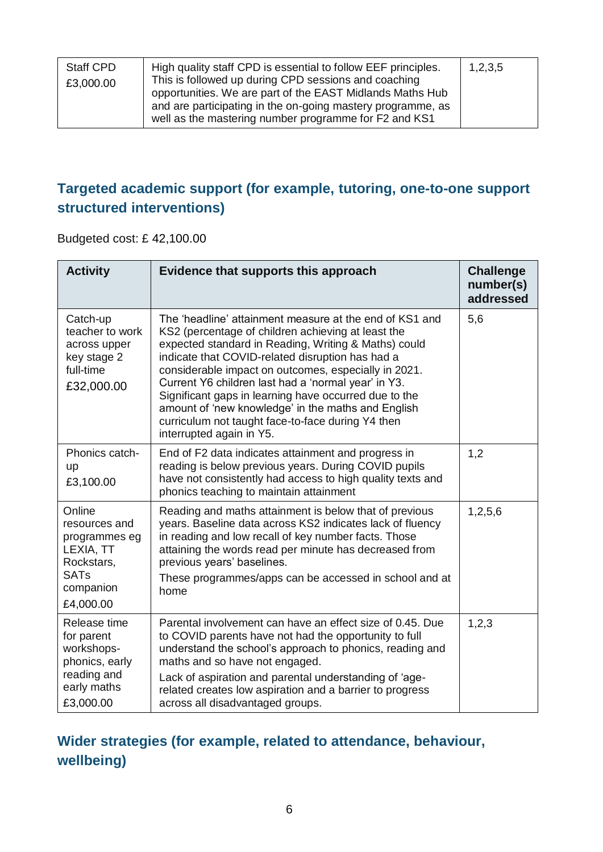| Staff CPD<br>£3,000.00 | High quality staff CPD is essential to follow EEF principles.<br>This is followed up during CPD sessions and coaching<br>opportunities. We are part of the EAST Midlands Maths Hub<br>and are participating in the on-going mastery programme, as | 1,2,3,5 |
|------------------------|---------------------------------------------------------------------------------------------------------------------------------------------------------------------------------------------------------------------------------------------------|---------|
|                        | well as the mastering number programme for F2 and KS1                                                                                                                                                                                             |         |

#### **Targeted academic support (for example, tutoring, one-to-one support structured interventions)**

Budgeted cost: £ 42,100.00

| <b>Activity</b>                                                                                              | Evidence that supports this approach                                                                                                                                                                                                                                                                                                                                                                                                                                                                                                     | <b>Challenge</b><br>number(s)<br>addressed |
|--------------------------------------------------------------------------------------------------------------|------------------------------------------------------------------------------------------------------------------------------------------------------------------------------------------------------------------------------------------------------------------------------------------------------------------------------------------------------------------------------------------------------------------------------------------------------------------------------------------------------------------------------------------|--------------------------------------------|
| Catch-up<br>teacher to work<br>across upper<br>key stage 2<br>full-time<br>£32,000.00                        | The 'headline' attainment measure at the end of KS1 and<br>KS2 (percentage of children achieving at least the<br>expected standard in Reading, Writing & Maths) could<br>indicate that COVID-related disruption has had a<br>considerable impact on outcomes, especially in 2021.<br>Current Y6 children last had a 'normal year' in Y3.<br>Significant gaps in learning have occurred due to the<br>amount of 'new knowledge' in the maths and English<br>curriculum not taught face-to-face during Y4 then<br>interrupted again in Y5. | 5,6                                        |
| Phonics catch-<br>up<br>£3,100.00                                                                            | End of F2 data indicates attainment and progress in<br>reading is below previous years. During COVID pupils<br>have not consistently had access to high quality texts and<br>phonics teaching to maintain attainment                                                                                                                                                                                                                                                                                                                     | 1,2                                        |
| Online<br>resources and<br>programmes eg<br>LEXIA, TT<br>Rockstars,<br><b>SATs</b><br>companion<br>£4,000.00 | Reading and maths attainment is below that of previous<br>years. Baseline data across KS2 indicates lack of fluency<br>in reading and low recall of key number facts. Those<br>attaining the words read per minute has decreased from<br>previous years' baselines.<br>These programmes/apps can be accessed in school and at<br>home                                                                                                                                                                                                    | 1,2,5,6                                    |
| Release time<br>for parent<br>workshops-<br>phonics, early<br>reading and<br>early maths<br>£3,000.00        | Parental involvement can have an effect size of 0.45. Due<br>to COVID parents have not had the opportunity to full<br>understand the school's approach to phonics, reading and<br>maths and so have not engaged.<br>Lack of aspiration and parental understanding of 'age-<br>related creates low aspiration and a barrier to progress<br>across all disadvantaged groups.                                                                                                                                                               | 1,2,3                                      |

### **Wider strategies (for example, related to attendance, behaviour, wellbeing)**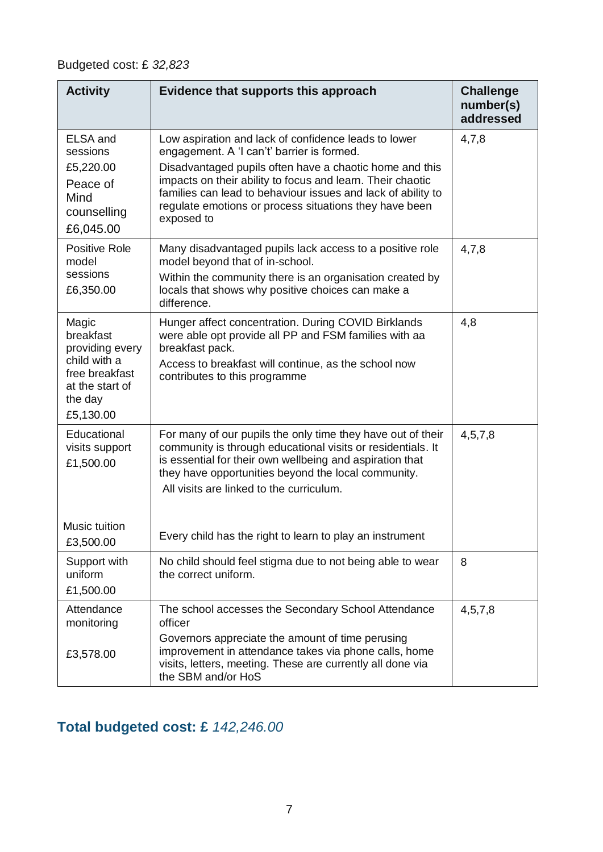| <b>Activity</b>                                                                                                    | Evidence that supports this approach                                                                                                                                                                                                                                                                                                                                | <b>Challenge</b><br>number(s)<br>addressed |
|--------------------------------------------------------------------------------------------------------------------|---------------------------------------------------------------------------------------------------------------------------------------------------------------------------------------------------------------------------------------------------------------------------------------------------------------------------------------------------------------------|--------------------------------------------|
| <b>ELSA</b> and<br>sessions<br>£5,220.00<br>Peace of<br>Mind<br>counselling<br>£6,045.00                           | Low aspiration and lack of confidence leads to lower<br>engagement. A 'I can't' barrier is formed.<br>Disadvantaged pupils often have a chaotic home and this<br>impacts on their ability to focus and learn. Their chaotic<br>families can lead to behaviour issues and lack of ability to<br>regulate emotions or process situations they have been<br>exposed to | 4,7,8                                      |
| <b>Positive Role</b><br>model<br>sessions<br>£6,350.00                                                             | Many disadvantaged pupils lack access to a positive role<br>model beyond that of in-school.<br>Within the community there is an organisation created by<br>locals that shows why positive choices can make a<br>difference.                                                                                                                                         | 4,7,8                                      |
| Magic<br>breakfast<br>providing every<br>child with a<br>free breakfast<br>at the start of<br>the day<br>£5,130.00 | Hunger affect concentration. During COVID Birklands<br>were able opt provide all PP and FSM families with aa<br>breakfast pack.<br>Access to breakfast will continue, as the school now<br>contributes to this programme                                                                                                                                            | 4,8                                        |
| Educational<br>visits support<br>£1,500.00<br>Music tuition                                                        | For many of our pupils the only time they have out of their<br>community is through educational visits or residentials. It<br>is essential for their own wellbeing and aspiration that<br>they have opportunities beyond the local community.<br>All visits are linked to the curriculum.                                                                           | 4,5,7,8                                    |
| £3,500.00                                                                                                          | Every child has the right to learn to play an instrument                                                                                                                                                                                                                                                                                                            |                                            |
| Support with<br>uniform<br>£1,500.00                                                                               | No child should feel stigma due to not being able to wear<br>the correct uniform.                                                                                                                                                                                                                                                                                   | 8                                          |
| Attendance<br>monitoring<br>£3,578.00                                                                              | The school accesses the Secondary School Attendance<br>officer<br>Governors appreciate the amount of time perusing<br>improvement in attendance takes via phone calls, home<br>visits, letters, meeting. These are currently all done via<br>the SBM and/or HoS                                                                                                     | 4, 5, 7, 8                                 |

### **Total budgeted cost: £** *142,246.00*